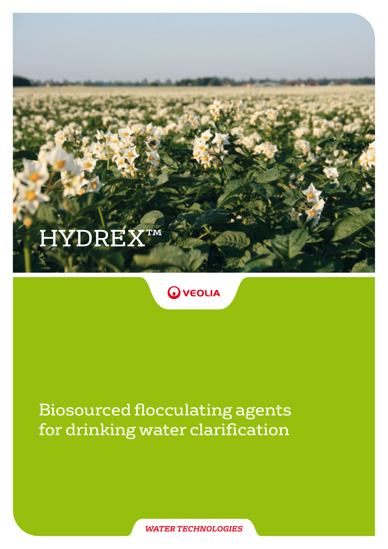# HYDREX™

### **O** VEOLIA

# Biosourced flocculating agents for drinking water clarification

*WATER TECHNOLOGIES*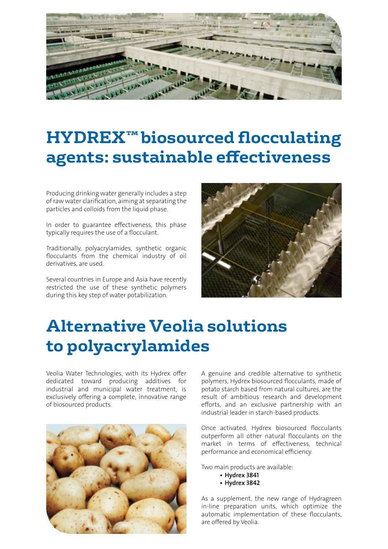

# **HYDREX™biosourced flocculating agents: sustainable effectiveness**

Producing drinking water generally includes a step of raw water clarification, aiming at separating the particles and colloids from the liquid phase.

In order to guarantee effectiveness, this phase typically requires the use of a flocculant.

Traditionally, polyacrylamides, synthetic organic flocculants from the chemical industry of oil derivatives, are used.

Several countries in Europe and Asia have recently restricted the use of these synthetic polymers during this key step of water potabilization.



### **Alternative Veolia solutions to polyacrylamides**

Veolia Water Technologies, with its Hydrex offer dedicated toward producing additives for industrial and municipal water treatment, is exclusively offering a complete, innovative range of biosourced products.



A genuine and credible alternative to synthetic polymers, Hydrex biosourced flocculants, made of potato starch based from natural cultures, are the result of ambitious research and development efforts, and an exclusive partnership with an industrial leader in starch-based products.

Once activated, Hydrex biosourced flocculants outperform all other natural flocculants on the market in terms of effectiveness, technical performance and economical efficiency.

Two main products are available:

- Hydrex 3841
- Hydrex 3842

As a supplement, the new range of Hydragreen in-line preparation units, which optimize the automatic implementation of these flocculants, are offered by Veolia.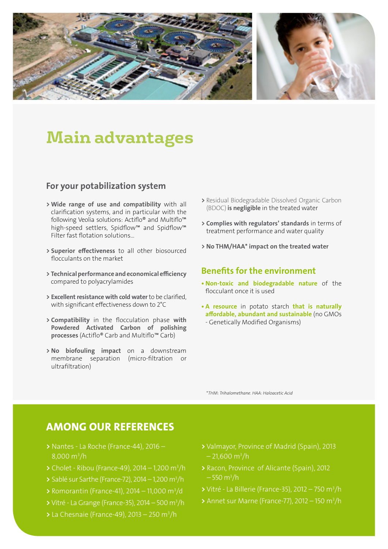

### **Main advantages**

#### For your potabilization system

- > Wide range of use and compatibility with all clarification systems, and in particular with the following Veolia solutions: Actiflo® and Multiflo™ high-speed settlers, Spidflow™ and Spidflow™ Filter fast flotation solutions...
- > Superior effectiveness to all other biosourced flocculants on the market
- > Technical performance and economical efficiency compared to polyacrylamides
- > Excellent resistance with cold water to be clarified, with significant effectiveness down to 2°C
- > Compatibility in the flocculation phase with Powdered Activated Carbon of polishing processes (Actiflo® Carb and Multiflo™ Carb)
- > No biofouling impact on a downstream membrane separation (micro-filtration or ultrafiltration)
- > Residual Biodegradable Dissolved Organic Carbon (BDOC) is negligible in the treated water
- > Complies with regulators' standards in terms of treatment performance and water quality
- > No THM/HAA\* impact on the treated water

#### Benefits for the environment

- Non-toxic and biodegradable nature of the flocculant once it is used
- A resource in potato starch that is naturally affordable, abundant and sustainable (no GMOs - Genetically Modified Organisms)

\**THM: Trihalomethane. HAA: Haloacetic Acid*

#### AMONG OUR REFERENCES

- > Nantes La Roche (France-44), 2016 8,000 m3 /h
- $\blacktriangleright$  Cholet Ribou (France-49), 2014 1,200 m<sup>3</sup>/h
- $\geq$  Sablé sur Sarthe (France-72), 2014 1,200 m<sup>3</sup>/h
- > Romorantin (France-41), 2014 11,000 m3 /d
- $\blacktriangleright$  Vitré La Grange (France-35), 2014 500 m $^3$ /h
- > La Chesnaie (France-49), 2013 250 m3 /h
- > Valmayor, Province of Madrid (Spain), 2013 – 21,600 m3 /h
- > Racon, Province of Alicante (Spain), 2012 – 550 m3 /h
- $\triangleright$  Vitré La Billerie (France-35), 2012 750 m<sup>3</sup>/h
- > Annet sur Marne (France-77), 2012 150 m3 /h